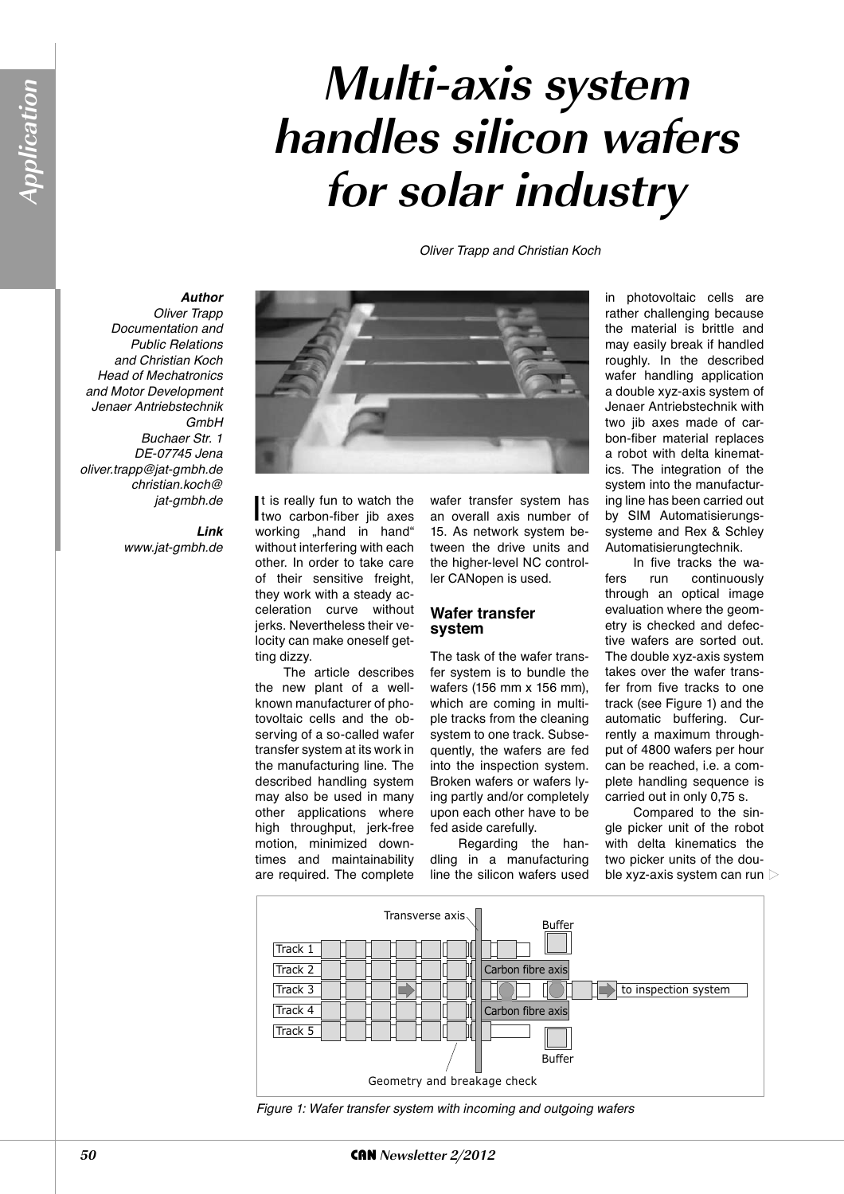# **Multi-axis system handles silicon wafers for solar industry**

Oliver Trapp and Christian Koch

## *Author*

Oliver Trapp Documentation and Public Relations and Christian Koch Head of Mechatronics and Motor Development Jenaer Antriebstechnik **GmbH** Buchaer Str. 1 DE-07745 Jena oliver.trapp@jat-gmbh.de christian.koch@ jat-gmbh.de

> *Link* www.jat-gmbh.de



t is really fun to watch the<br>two carbon-fiber jib axes t is really fun to watch the working "hand in hand" without interfering with each other. In order to take care of their sensitive freight, they work with a steady acceleration curve without jerks. Nevertheless their velocity can make oneself getting dizzy.

The article describes the new plant of a wellknown manufacturer of photovoltaic cells and the observing of a so-called wafer transfer system at its work in the manufacturing line. The described handling system may also be used in many other applications where high throughput, jerk-free motion, minimized downtimes and maintainability are required. The complete

wafer transfer system has an overall axis number of 15. As network system between the drive units and the higher-level NC controller CANopen is used.

#### **Wafer transfer system**

The task of the wafer transfer system is to bundle the wafers (156 mm x 156 mm), which are coming in multiple tracks from the cleaning system to one track. Subsequently, the wafers are fed into the inspection system. Broken wafers or wafers lying partly and/or completely upon each other have to be fed aside carefully.

Regarding the handling in a manufacturing line the silicon wafers used

in photovoltaic cells are rather challenging because the material is brittle and may easily break if handled roughly. In the described wafer handling application a double xyz-axis system of Jenaer Antriebstechnik with two jib axes made of carbon-fiber material replaces a robot with delta kinematics. The integration of the system into the manufacturing line has been carried out by SIM Automatisierungssysteme and Rex & Schley Automatisierungtechnik.

In five tracks the wafers run continuously through an optical image evaluation where the geometry is checked and defective wafers are sorted out. The double xyz-axis system takes over the wafer transfer from five tracks to one track (see Figure 1) and the automatic buffering. Currently a maximum throughput of 4800 wafers per hour can be reached, i.e. a complete handling sequence is carried out in only 0,75 s.

Compared to the single picker unit of the robot with delta kinematics the two picker units of the double xyz-axis system can run



Figure 1: Wafer transfer system with incoming and outgoing wafers